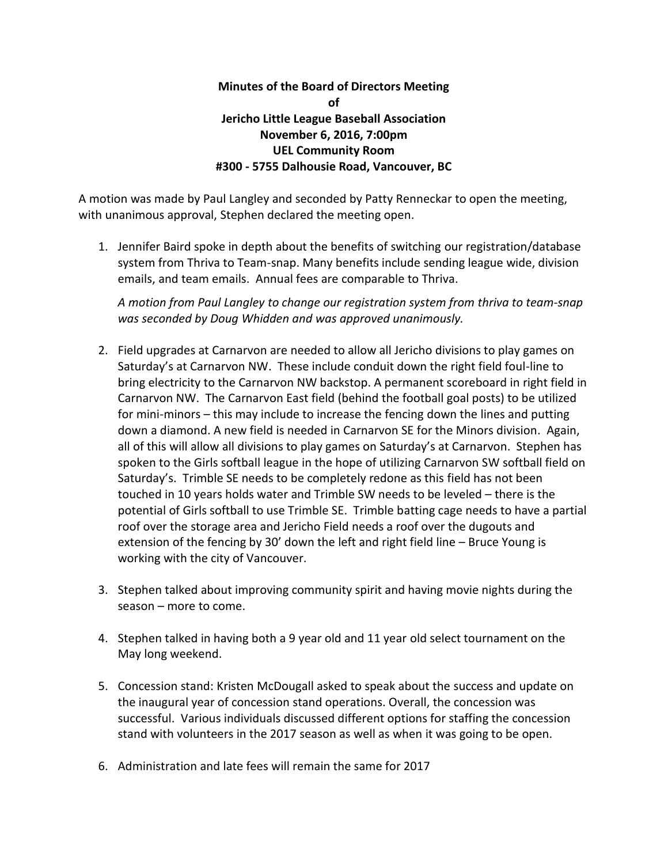## **Minutes of the Board of Directors Meeting of Jericho Little League Baseball Association November 6, 2016, 7:00pm UEL Community Room #300 - 5755 Dalhousie Road, Vancouver, BC**

A motion was made by Paul Langley and seconded by Patty Renneckar to open the meeting, with unanimous approval, Stephen declared the meeting open.

1. Jennifer Baird spoke in depth about the benefits of switching our registration/database system from Thriva to Team-snap. Many benefits include sending league wide, division emails, and team emails. Annual fees are comparable to Thriva.

*A motion from Paul Langley to change our registration system from thriva to team-snap was seconded by Doug Whidden and was approved unanimously.* 

- 2. Field upgrades at Carnarvon are needed to allow all Jericho divisions to play games on Saturday's at Carnarvon NW. These include conduit down the right field foul-line to bring electricity to the Carnarvon NW backstop. A permanent scoreboard in right field in Carnarvon NW. The Carnarvon East field (behind the football goal posts) to be utilized for mini-minors – this may include to increase the fencing down the lines and putting down a diamond. A new field is needed in Carnarvon SE for the Minors division. Again, all of this will allow all divisions to play games on Saturday's at Carnarvon. Stephen has spoken to the Girls softball league in the hope of utilizing Carnarvon SW softball field on Saturday's. Trimble SE needs to be completely redone as this field has not been touched in 10 years holds water and Trimble SW needs to be leveled – there is the potential of Girls softball to use Trimble SE. Trimble batting cage needs to have a partial roof over the storage area and Jericho Field needs a roof over the dugouts and extension of the fencing by 30' down the left and right field line – Bruce Young is working with the city of Vancouver.
- 3. Stephen talked about improving community spirit and having movie nights during the season – more to come.
- 4. Stephen talked in having both a 9 year old and 11 year old select tournament on the May long weekend.
- 5. Concession stand: Kristen McDougall asked to speak about the success and update on the inaugural year of concession stand operations. Overall, the concession was successful. Various individuals discussed different options for staffing the concession stand with volunteers in the 2017 season as well as when it was going to be open.
- 6. Administration and late fees will remain the same for 2017